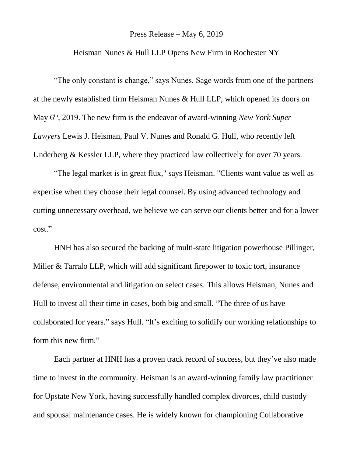## Press Release – May 6, 2019

## Heisman Nunes & Hull LLP Opens New Firm in Rochester NY

"The only constant is change," says Nunes. Sage words from one of the partners at the newly established firm Heisman Nunes & Hull LLP, which opened its doors on May 6<sup>th</sup>, 2019. The new firm is the endeavor of award-winning *New York Super Lawyers* Lewis J. Heisman, Paul V. Nunes and Ronald G. Hull, who recently left Underberg & Kessler LLP, where they practiced law collectively for over 70 years.

"The legal market is in great flux," says Heisman. "Clients want value as well as expertise when they choose their legal counsel. By using advanced technology and cutting unnecessary overhead, we believe we can serve our clients better and for a lower cost."

HNH has also secured the backing of multi-state litigation powerhouse Pillinger, Miller & Tarralo LLP, which will add significant firepower to toxic tort, insurance defense, environmental and litigation on select cases. This allows Heisman, Nunes and Hull to invest all their time in cases, both big and small. "The three of us have collaborated for years." says Hull. "It's exciting to solidify our working relationships to form this new firm."

Each partner at HNH has a proven track record of success, but they've also made time to invest in the community. Heisman is an award-winning family law practitioner for Upstate New York, having successfully handled complex divorces, child custody and spousal maintenance cases. He is widely known for championing Collaborative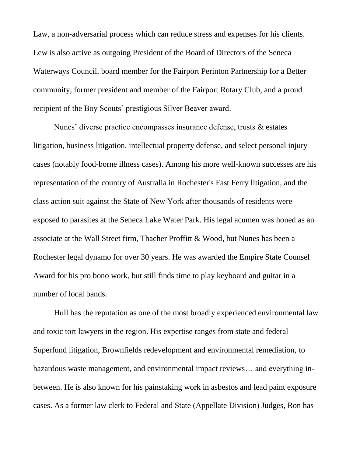Law, a non-adversarial process which can reduce stress and expenses for his clients. Lew is also active as outgoing President of the Board of Directors of the Seneca Waterways Council, board member for the Fairport Perinton Partnership for a Better community, former president and member of the Fairport Rotary Club, and a proud recipient of the Boy Scouts' prestigious Silver Beaver award.

Nunes' diverse practice encompasses insurance defense, trusts & estates litigation, business litigation, intellectual property defense, and select personal injury cases (notably food-borne illness cases). Among his more well-known successes are his representation of the country of Australia in Rochester's Fast Ferry litigation, and the class action suit against the State of New York after thousands of residents were exposed to parasites at the Seneca Lake Water Park. His legal acumen was honed as an associate at the Wall Street firm, Thacher Proffitt & Wood, but Nunes has been a Rochester legal dynamo for over 30 years. He was awarded the Empire State Counsel Award for his pro bono work, but still finds time to play keyboard and guitar in a number of local bands.

Hull has the reputation as one of the most broadly experienced environmental law and toxic tort lawyers in the region. His expertise ranges from state and federal Superfund litigation, Brownfields redevelopment and environmental remediation, to hazardous waste management, and environmental impact reviews... and everything inbetween. He is also known for his painstaking work in asbestos and lead paint exposure cases. As a former law clerk to Federal and State (Appellate Division) Judges, Ron has